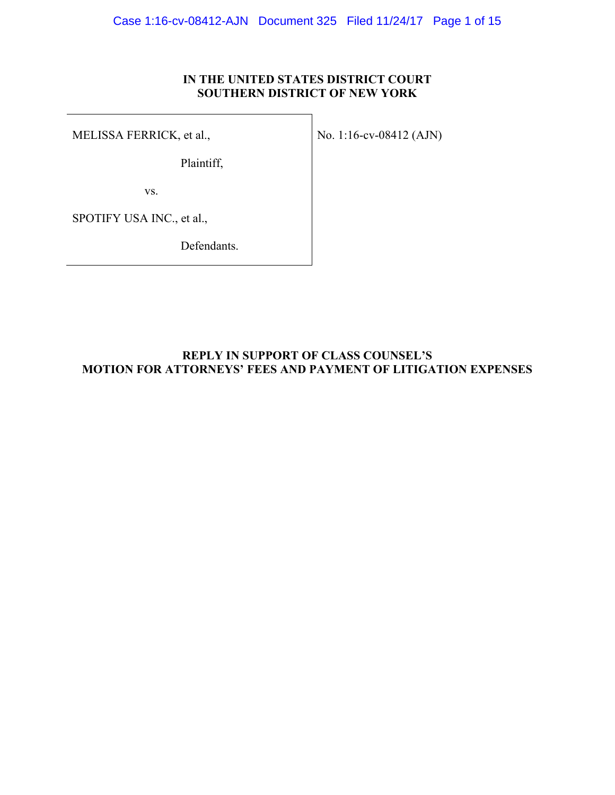# **IN THE UNITED STATES DISTRICT COURT SOUTHERN DISTRICT OF NEW YORK**

MELISSA FERRICK, et al.,

Plaintiff,

vs.

SPOTIFY USA INC., et al.,

Defendants.

**REPLY IN SUPPORT OF CLASS COUNSEL'S MOTION FOR ATTORNEYS' FEES AND PAYMENT OF LITIGATION EXPENSES** 

No. 1:16-cv-08412 (AJN)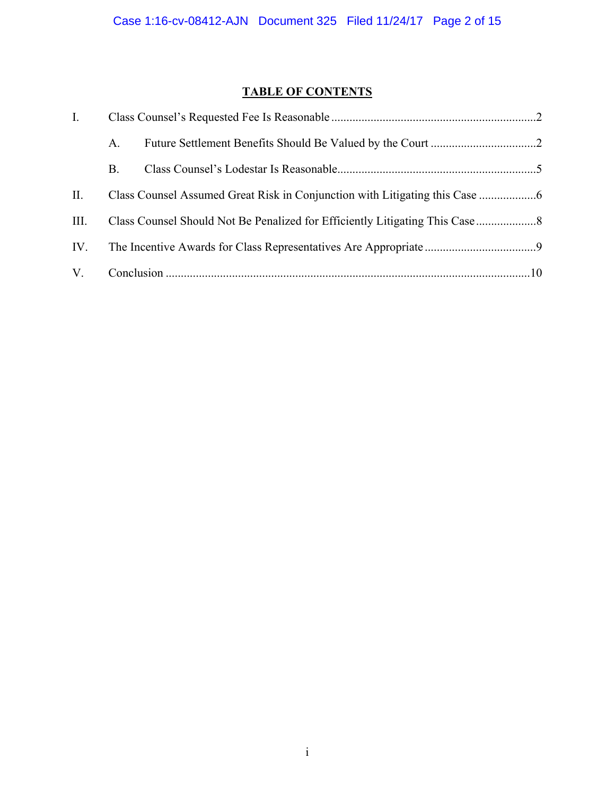# **TABLE OF CONTENTS**

| $\mathbf{I}$ . |                                                                            |  |  |
|----------------|----------------------------------------------------------------------------|--|--|
|                | $A_{-}$                                                                    |  |  |
|                | В.                                                                         |  |  |
| $\prod$ .      |                                                                            |  |  |
| III.           | Class Counsel Should Not Be Penalized for Efficiently Litigating This Case |  |  |
| IV.            |                                                                            |  |  |
| V.             |                                                                            |  |  |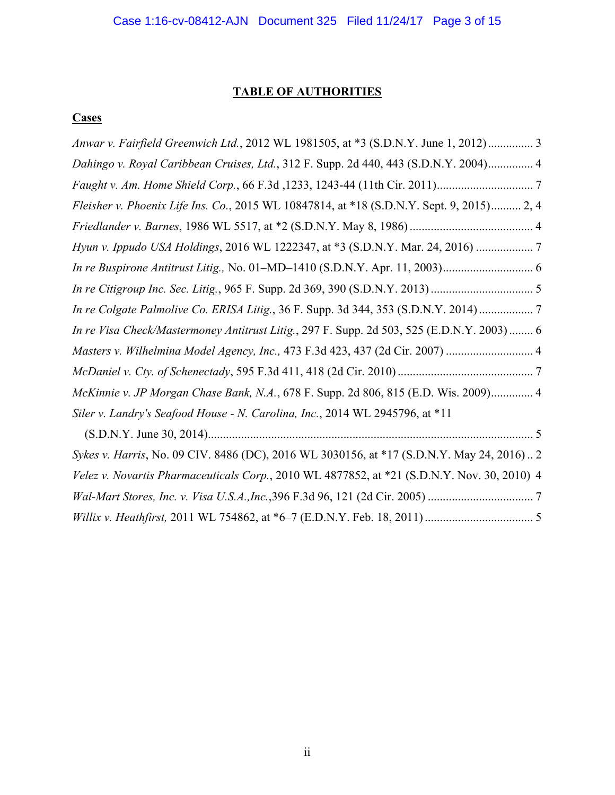# **TABLE OF AUTHORITIES**

# **Cases**

| Anwar v. Fairfield Greenwich Ltd., 2012 WL 1981505, at *3 (S.D.N.Y. June 1, 2012) 3         |  |
|---------------------------------------------------------------------------------------------|--|
| Dahingo v. Royal Caribbean Cruises, Ltd., 312 F. Supp. 2d 440, 443 (S.D.N.Y. 2004) 4        |  |
|                                                                                             |  |
| Fleisher v. Phoenix Life Ins. Co., 2015 WL 10847814, at *18 (S.D.N.Y. Sept. 9, 2015) 2, 4   |  |
|                                                                                             |  |
| Hyun v. Ippudo USA Holdings, 2016 WL 1222347, at *3 (S.D.N.Y. Mar. 24, 2016)  7             |  |
|                                                                                             |  |
|                                                                                             |  |
| In re Colgate Palmolive Co. ERISA Litig., 36 F. Supp. 3d 344, 353 (S.D.N.Y. 2014)7          |  |
| In re Visa Check/Mastermoney Antitrust Litig., 297 F. Supp. 2d 503, 525 (E.D.N.Y. 2003) 6   |  |
|                                                                                             |  |
|                                                                                             |  |
| McKinnie v. JP Morgan Chase Bank, N.A., 678 F. Supp. 2d 806, 815 (E.D. Wis. 2009) 4         |  |
| Siler v. Landry's Seafood House - N. Carolina, Inc., 2014 WL 2945796, at *11                |  |
|                                                                                             |  |
| Sykes v. Harris, No. 09 CIV. 8486 (DC), 2016 WL 3030156, at *17 (S.D.N.Y. May 24, 2016) 2   |  |
| Velez v. Novartis Pharmaceuticals Corp., 2010 WL 4877852, at *21 (S.D.N.Y. Nov. 30, 2010) 4 |  |
|                                                                                             |  |
|                                                                                             |  |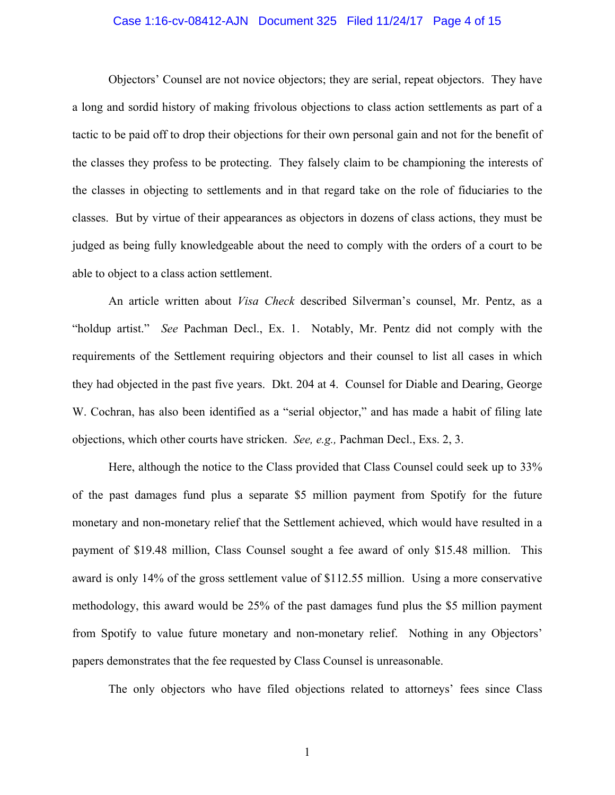#### Case 1:16-cv-08412-AJN Document 325 Filed 11/24/17 Page 4 of 15

Objectors' Counsel are not novice objectors; they are serial, repeat objectors. They have a long and sordid history of making frivolous objections to class action settlements as part of a tactic to be paid off to drop their objections for their own personal gain and not for the benefit of the classes they profess to be protecting. They falsely claim to be championing the interests of the classes in objecting to settlements and in that regard take on the role of fiduciaries to the classes. But by virtue of their appearances as objectors in dozens of class actions, they must be judged as being fully knowledgeable about the need to comply with the orders of a court to be able to object to a class action settlement.

An article written about *Visa Check* described Silverman's counsel, Mr. Pentz, as a "holdup artist." *See* Pachman Decl., Ex. 1. Notably, Mr. Pentz did not comply with the requirements of the Settlement requiring objectors and their counsel to list all cases in which they had objected in the past five years. Dkt. 204 at 4. Counsel for Diable and Dearing, George W. Cochran, has also been identified as a "serial objector," and has made a habit of filing late objections, which other courts have stricken. *See, e.g.,* Pachman Decl., Exs. 2, 3.

Here, although the notice to the Class provided that Class Counsel could seek up to 33% of the past damages fund plus a separate \$5 million payment from Spotify for the future monetary and non-monetary relief that the Settlement achieved, which would have resulted in a payment of \$19.48 million, Class Counsel sought a fee award of only \$15.48 million. This award is only 14% of the gross settlement value of \$112.55 million. Using a more conservative methodology, this award would be 25% of the past damages fund plus the \$5 million payment from Spotify to value future monetary and non-monetary relief. Nothing in any Objectors' papers demonstrates that the fee requested by Class Counsel is unreasonable.

The only objectors who have filed objections related to attorneys' fees since Class

1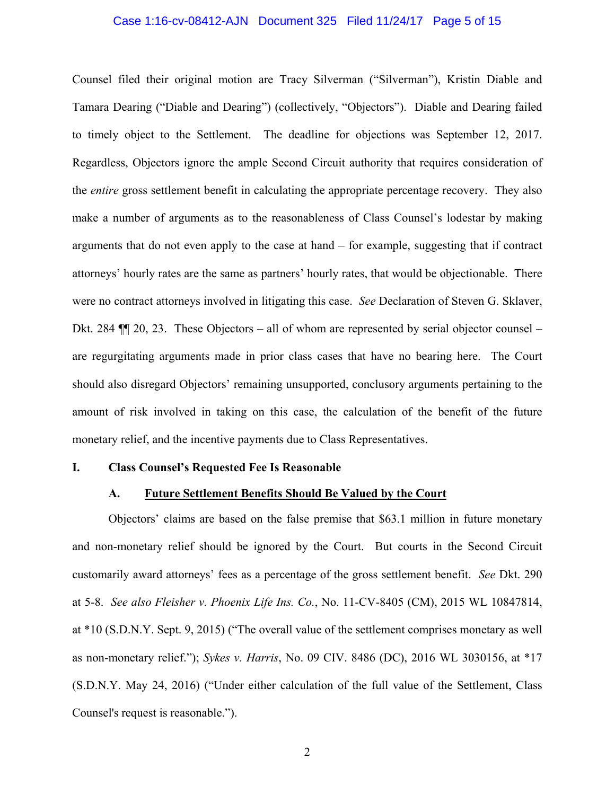#### Case 1:16-cv-08412-AJN Document 325 Filed 11/24/17 Page 5 of 15

Counsel filed their original motion are Tracy Silverman ("Silverman"), Kristin Diable and Tamara Dearing ("Diable and Dearing") (collectively, "Objectors"). Diable and Dearing failed to timely object to the Settlement. The deadline for objections was September 12, 2017. Regardless, Objectors ignore the ample Second Circuit authority that requires consideration of the *entire* gross settlement benefit in calculating the appropriate percentage recovery. They also make a number of arguments as to the reasonableness of Class Counsel's lodestar by making arguments that do not even apply to the case at hand – for example, suggesting that if contract attorneys' hourly rates are the same as partners' hourly rates, that would be objectionable. There were no contract attorneys involved in litigating this case. *See* Declaration of Steven G. Sklaver, Dkt. 284 ¶¶ 20, 23. These Objectors – all of whom are represented by serial objector counsel – are regurgitating arguments made in prior class cases that have no bearing here. The Court should also disregard Objectors' remaining unsupported, conclusory arguments pertaining to the amount of risk involved in taking on this case, the calculation of the benefit of the future monetary relief, and the incentive payments due to Class Representatives.

#### **I. Class Counsel's Requested Fee Is Reasonable**

### **A. Future Settlement Benefits Should Be Valued by the Court**

Objectors' claims are based on the false premise that \$63.1 million in future monetary and non-monetary relief should be ignored by the Court. But courts in the Second Circuit customarily award attorneys' fees as a percentage of the gross settlement benefit. *See* Dkt. 290 at 5-8. *See also Fleisher v. Phoenix Life Ins. Co.*, No. 11-CV-8405 (CM), 2015 WL 10847814, at \*10 (S.D.N.Y. Sept. 9, 2015) ("The overall value of the settlement comprises monetary as well as non-monetary relief."); *Sykes v. Harris*, No. 09 CIV. 8486 (DC), 2016 WL 3030156, at \*17 (S.D.N.Y. May 24, 2016) ("Under either calculation of the full value of the Settlement, Class Counsel's request is reasonable.").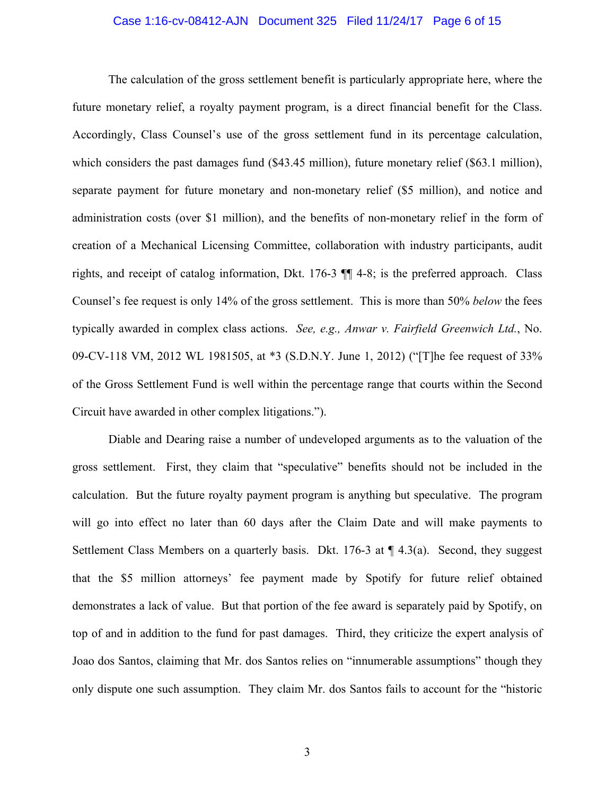#### Case 1:16-cv-08412-AJN Document 325 Filed 11/24/17 Page 6 of 15

The calculation of the gross settlement benefit is particularly appropriate here, where the future monetary relief, a royalty payment program, is a direct financial benefit for the Class. Accordingly, Class Counsel's use of the gross settlement fund in its percentage calculation, which considers the past damages fund (\$43.45 million), future monetary relief (\$63.1 million), separate payment for future monetary and non-monetary relief (\$5 million), and notice and administration costs (over \$1 million), and the benefits of non-monetary relief in the form of creation of a Mechanical Licensing Committee, collaboration with industry participants, audit rights, and receipt of catalog information, Dkt. 176-3 ¶¶ 4-8; is the preferred approach. Class Counsel's fee request is only 14% of the gross settlement. This is more than 50% *below* the fees typically awarded in complex class actions. *See, e.g., Anwar v. Fairfield Greenwich Ltd.*, No. 09-CV-118 VM, 2012 WL 1981505, at \*3 (S.D.N.Y. June 1, 2012) ("[T]he fee request of 33% of the Gross Settlement Fund is well within the percentage range that courts within the Second Circuit have awarded in other complex litigations.").

Diable and Dearing raise a number of undeveloped arguments as to the valuation of the gross settlement. First, they claim that "speculative" benefits should not be included in the calculation. But the future royalty payment program is anything but speculative. The program will go into effect no later than 60 days after the Claim Date and will make payments to Settlement Class Members on a quarterly basis. Dkt. 176-3 at  $\P$  4.3(a). Second, they suggest that the \$5 million attorneys' fee payment made by Spotify for future relief obtained demonstrates a lack of value. But that portion of the fee award is separately paid by Spotify, on top of and in addition to the fund for past damages. Third, they criticize the expert analysis of Joao dos Santos, claiming that Mr. dos Santos relies on "innumerable assumptions" though they only dispute one such assumption. They claim Mr. dos Santos fails to account for the "historic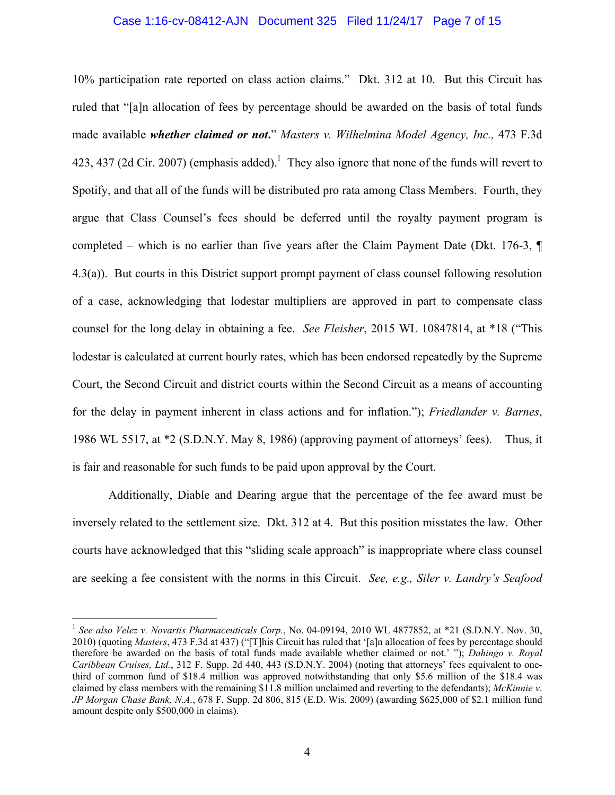#### Case 1:16-cv-08412-AJN Document 325 Filed 11/24/17 Page 7 of 15

10% participation rate reported on class action claims." Dkt. 312 at 10. But this Circuit has ruled that "[a]n allocation of fees by percentage should be awarded on the basis of total funds made available *whether claimed or not***.**" *Masters v. Wilhelmina Model Agency, Inc.,* 473 F.3d 423, 437 (2d Cir. 2007) (emphasis added).<sup>1</sup> They also ignore that none of the funds will revert to Spotify, and that all of the funds will be distributed pro rata among Class Members. Fourth, they argue that Class Counsel's fees should be deferred until the royalty payment program is completed – which is no earlier than five years after the Claim Payment Date (Dkt. 176-3, ¶ 4.3(a)). But courts in this District support prompt payment of class counsel following resolution of a case, acknowledging that lodestar multipliers are approved in part to compensate class counsel for the long delay in obtaining a fee. *See Fleisher*, 2015 WL 10847814, at \*18 ("This lodestar is calculated at current hourly rates, which has been endorsed repeatedly by the Supreme Court, the Second Circuit and district courts within the Second Circuit as a means of accounting for the delay in payment inherent in class actions and for inflation."); *Friedlander v. Barnes*, 1986 WL 5517, at \*2 (S.D.N.Y. May 8, 1986) (approving payment of attorneys' fees). Thus, it is fair and reasonable for such funds to be paid upon approval by the Court.

Additionally, Diable and Dearing argue that the percentage of the fee award must be inversely related to the settlement size. Dkt. 312 at 4. But this position misstates the law. Other courts have acknowledged that this "sliding scale approach" is inappropriate where class counsel are seeking a fee consistent with the norms in this Circuit. *See, e.g., Siler v. Landry's Seafood* 

<u>.</u>

<sup>&</sup>lt;sup>1</sup> See also Velez v. Novartis Pharmaceuticals Corp., No. 04-09194, 2010 WL 4877852, at \*21 (S.D.N.Y. Nov. 30, 2010) (quoting *Masters*, 473 F.3d at 437) ("[T]his Circuit has ruled that '[a]n allocation of fees by percentage should therefore be awarded on the basis of total funds made available whether claimed or not.' "); *Dahingo v. Royal Caribbean Cruises, Ltd.*, 312 F. Supp. 2d 440, 443 (S.D.N.Y. 2004) (noting that attorneys' fees equivalent to onethird of common fund of \$18.4 million was approved notwithstanding that only \$5.6 million of the \$18.4 was claimed by class members with the remaining \$11.8 million unclaimed and reverting to the defendants); *McKinnie v. JP Morgan Chase Bank, N.A.*, 678 F. Supp. 2d 806, 815 (E.D. Wis. 2009) (awarding \$625,000 of \$2.1 million fund amount despite only \$500,000 in claims).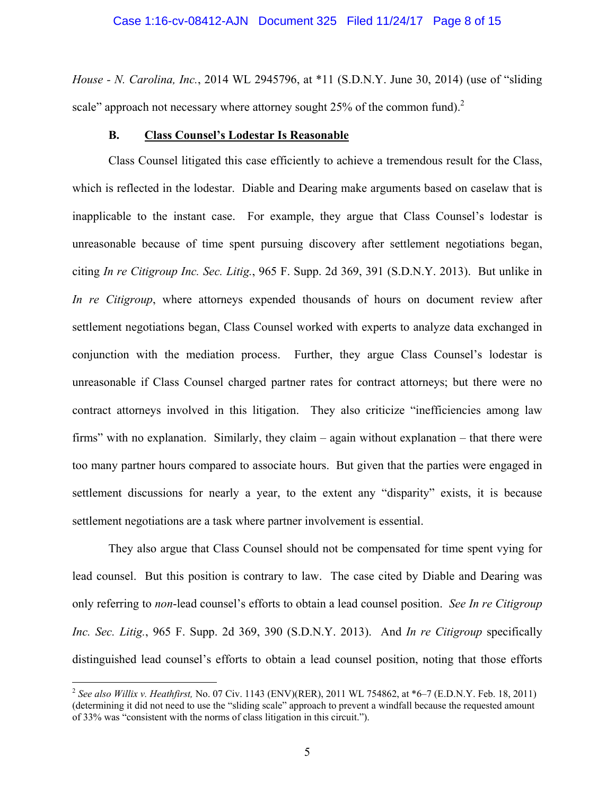*House - N. Carolina, Inc.*, 2014 WL 2945796, at \*11 (S.D.N.Y. June 30, 2014) (use of "sliding scale" approach not necessary where attorney sought  $25\%$  of the common fund).<sup>2</sup>

#### **B. Class Counsel's Lodestar Is Reasonable**

Class Counsel litigated this case efficiently to achieve a tremendous result for the Class, which is reflected in the lodestar. Diable and Dearing make arguments based on caselaw that is inapplicable to the instant case. For example, they argue that Class Counsel's lodestar is unreasonable because of time spent pursuing discovery after settlement negotiations began, citing *In re Citigroup Inc. Sec. Litig.*, 965 F. Supp. 2d 369, 391 (S.D.N.Y. 2013). But unlike in *In re Citigroup*, where attorneys expended thousands of hours on document review after settlement negotiations began, Class Counsel worked with experts to analyze data exchanged in conjunction with the mediation process. Further, they argue Class Counsel's lodestar is unreasonable if Class Counsel charged partner rates for contract attorneys; but there were no contract attorneys involved in this litigation. They also criticize "inefficiencies among law firms" with no explanation. Similarly, they claim – again without explanation – that there were too many partner hours compared to associate hours. But given that the parties were engaged in settlement discussions for nearly a year, to the extent any "disparity" exists, it is because settlement negotiations are a task where partner involvement is essential.

They also argue that Class Counsel should not be compensated for time spent vying for lead counsel. But this position is contrary to law. The case cited by Diable and Dearing was only referring to *non*-lead counsel's efforts to obtain a lead counsel position. *See In re Citigroup Inc. Sec. Litig.*, 965 F. Supp. 2d 369, 390 (S.D.N.Y. 2013). And *In re Citigroup* specifically distinguished lead counsel's efforts to obtain a lead counsel position, noting that those efforts

 $\overline{a}$ 

<sup>2</sup> *See also Willix v. Heathfirst,* No. 07 Civ. 1143 (ENV)(RER), 2011 WL 754862, at \*6–7 (E.D.N.Y. Feb. 18, 2011) (determining it did not need to use the "sliding scale" approach to prevent a windfall because the requested amount of 33% was "consistent with the norms of class litigation in this circuit.").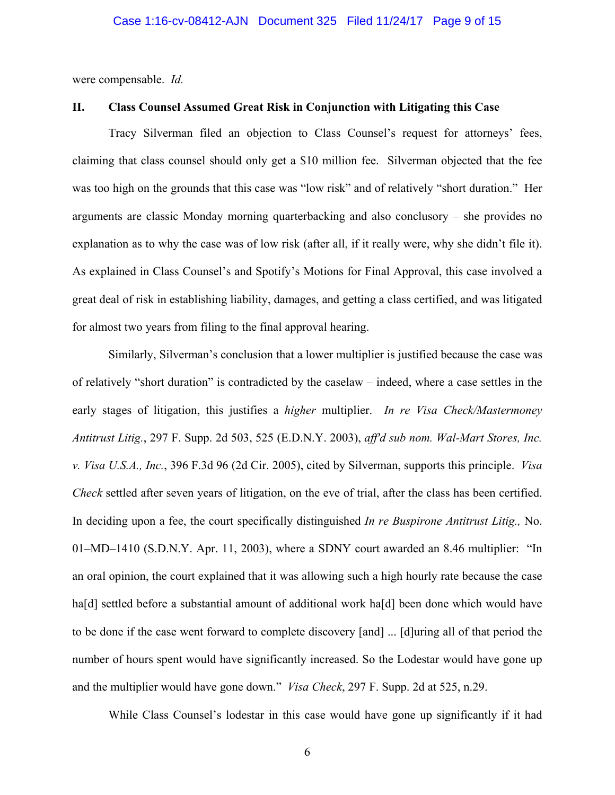were compensable. *Id.* 

## **II. Class Counsel Assumed Great Risk in Conjunction with Litigating this Case**

Tracy Silverman filed an objection to Class Counsel's request for attorneys' fees, claiming that class counsel should only get a \$10 million fee. Silverman objected that the fee was too high on the grounds that this case was "low risk" and of relatively "short duration." Her arguments are classic Monday morning quarterbacking and also conclusory – she provides no explanation as to why the case was of low risk (after all, if it really were, why she didn't file it). As explained in Class Counsel's and Spotify's Motions for Final Approval, this case involved a great deal of risk in establishing liability, damages, and getting a class certified, and was litigated for almost two years from filing to the final approval hearing.

Similarly, Silverman's conclusion that a lower multiplier is justified because the case was of relatively "short duration" is contradicted by the caselaw – indeed, where a case settles in the early stages of litigation, this justifies a *higher* multiplier. *In re Visa Check/Mastermoney Antitrust Litig.*, 297 F. Supp. 2d 503, 525 (E.D.N.Y. 2003), *aff'd sub nom. Wal-Mart Stores, Inc. v. Visa U.S.A., Inc.*, 396 F.3d 96 (2d Cir. 2005), cited by Silverman, supports this principle. *Visa Check* settled after seven years of litigation, on the eve of trial, after the class has been certified. In deciding upon a fee, the court specifically distinguished *In re Buspirone Antitrust Litig.,* No. 01–MD–1410 (S.D.N.Y. Apr. 11, 2003), where a SDNY court awarded an 8.46 multiplier: "In an oral opinion, the court explained that it was allowing such a high hourly rate because the case hald settled before a substantial amount of additional work hald been done which would have to be done if the case went forward to complete discovery [and] ... [d]uring all of that period the number of hours spent would have significantly increased. So the Lodestar would have gone up and the multiplier would have gone down." *Visa Check*, 297 F. Supp. 2d at 525, n.29.

While Class Counsel's lodestar in this case would have gone up significantly if it had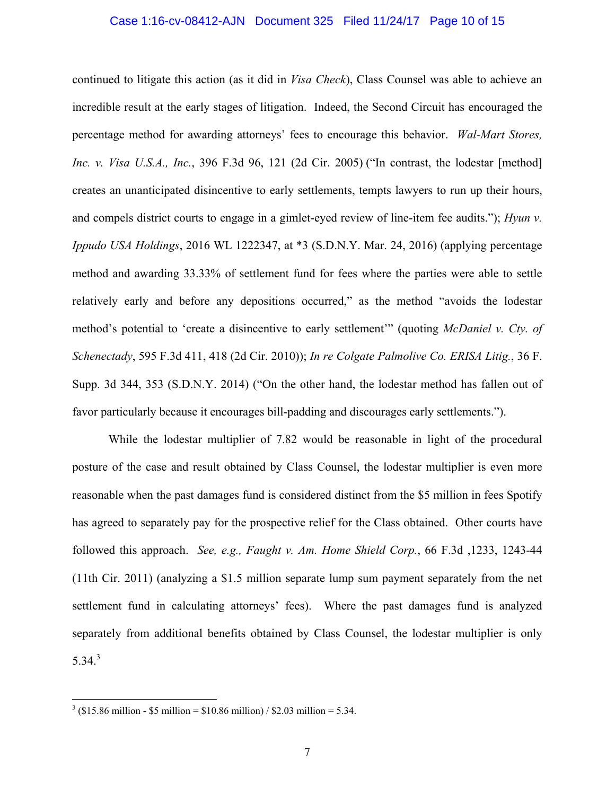#### Case 1:16-cv-08412-AJN Document 325 Filed 11/24/17 Page 10 of 15

continued to litigate this action (as it did in *Visa Check*), Class Counsel was able to achieve an incredible result at the early stages of litigation. Indeed, the Second Circuit has encouraged the percentage method for awarding attorneys' fees to encourage this behavior. *Wal-Mart Stores, Inc. v. Visa U.S.A., Inc.*, 396 F.3d 96, 121 (2d Cir. 2005) ("In contrast, the lodestar [method] creates an unanticipated disincentive to early settlements, tempts lawyers to run up their hours, and compels district courts to engage in a gimlet-eyed review of line-item fee audits."); *Hyun v. Ippudo USA Holdings*, 2016 WL 1222347, at \*3 (S.D.N.Y. Mar. 24, 2016) (applying percentage method and awarding 33.33% of settlement fund for fees where the parties were able to settle relatively early and before any depositions occurred," as the method "avoids the lodestar method's potential to 'create a disincentive to early settlement'" (quoting *McDaniel v. Cty. of Schenectady*, 595 F.3d 411, 418 (2d Cir. 2010)); *In re Colgate Palmolive Co. ERISA Litig.*, 36 F. Supp. 3d 344, 353 (S.D.N.Y. 2014) ("On the other hand, the lodestar method has fallen out of favor particularly because it encourages bill-padding and discourages early settlements.").

While the lodestar multiplier of 7.82 would be reasonable in light of the procedural posture of the case and result obtained by Class Counsel, the lodestar multiplier is even more reasonable when the past damages fund is considered distinct from the \$5 million in fees Spotify has agreed to separately pay for the prospective relief for the Class obtained. Other courts have followed this approach. *See, e.g., Faught v. Am. Home Shield Corp.*, 66 F.3d ,1233, 1243-44 (11th Cir. 2011) (analyzing a \$1.5 million separate lump sum payment separately from the net settlement fund in calculating attorneys' fees). Where the past damages fund is analyzed separately from additional benefits obtained by Class Counsel, the lodestar multiplier is only  $5.34.<sup>3</sup>$ 

 $\overline{a}$ 

 $3$  (\$15.86 million - \$5 million = \$10.86 million) / \$2.03 million = 5.34.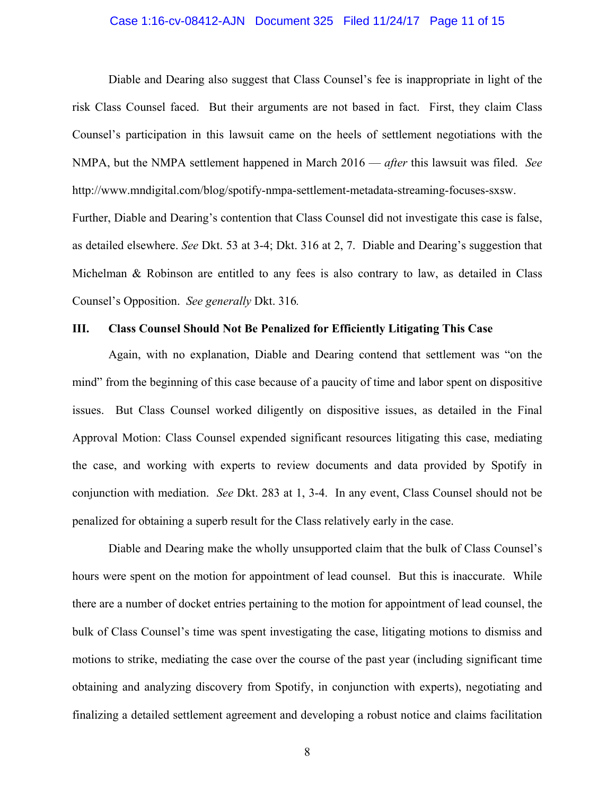#### Case 1:16-cv-08412-AJN Document 325 Filed 11/24/17 Page 11 of 15

Diable and Dearing also suggest that Class Counsel's fee is inappropriate in light of the risk Class Counsel faced. But their arguments are not based in fact. First, they claim Class Counsel's participation in this lawsuit came on the heels of settlement negotiations with the NMPA, but the NMPA settlement happened in March 2016 — *after* this lawsuit was filed. *See* http://www.mndigital.com/blog/spotify-nmpa-settlement-metadata-streaming-focuses-sxsw.

Further, Diable and Dearing's contention that Class Counsel did not investigate this case is false, as detailed elsewhere. *See* Dkt. 53 at 3-4; Dkt. 316 at 2, 7. Diable and Dearing's suggestion that Michelman & Robinson are entitled to any fees is also contrary to law, as detailed in Class Counsel's Opposition. *See generally* Dkt. 316*.*

#### **III. Class Counsel Should Not Be Penalized for Efficiently Litigating This Case**

Again, with no explanation, Diable and Dearing contend that settlement was "on the mind" from the beginning of this case because of a paucity of time and labor spent on dispositive issues. But Class Counsel worked diligently on dispositive issues, as detailed in the Final Approval Motion: Class Counsel expended significant resources litigating this case, mediating the case, and working with experts to review documents and data provided by Spotify in conjunction with mediation. *See* Dkt. 283 at 1, 3-4. In any event, Class Counsel should not be penalized for obtaining a superb result for the Class relatively early in the case.

Diable and Dearing make the wholly unsupported claim that the bulk of Class Counsel's hours were spent on the motion for appointment of lead counsel. But this is inaccurate. While there are a number of docket entries pertaining to the motion for appointment of lead counsel, the bulk of Class Counsel's time was spent investigating the case, litigating motions to dismiss and motions to strike, mediating the case over the course of the past year (including significant time obtaining and analyzing discovery from Spotify, in conjunction with experts), negotiating and finalizing a detailed settlement agreement and developing a robust notice and claims facilitation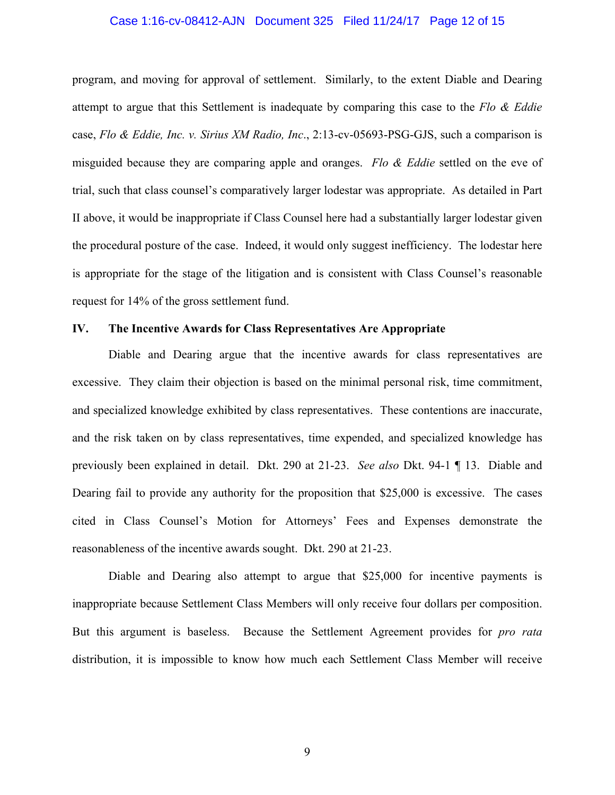#### Case 1:16-cv-08412-AJN Document 325 Filed 11/24/17 Page 12 of 15

program, and moving for approval of settlement. Similarly, to the extent Diable and Dearing attempt to argue that this Settlement is inadequate by comparing this case to the *Flo & Eddie*  case, *Flo & Eddie, Inc. v. Sirius XM Radio, Inc*., 2:13-cv-05693-PSG-GJS, such a comparison is misguided because they are comparing apple and oranges. *Flo & Eddie* settled on the eve of trial, such that class counsel's comparatively larger lodestar was appropriate. As detailed in Part II above, it would be inappropriate if Class Counsel here had a substantially larger lodestar given the procedural posture of the case. Indeed, it would only suggest inefficiency. The lodestar here is appropriate for the stage of the litigation and is consistent with Class Counsel's reasonable request for 14% of the gross settlement fund.

### **IV. The Incentive Awards for Class Representatives Are Appropriate**

Diable and Dearing argue that the incentive awards for class representatives are excessive. They claim their objection is based on the minimal personal risk, time commitment, and specialized knowledge exhibited by class representatives. These contentions are inaccurate, and the risk taken on by class representatives, time expended, and specialized knowledge has previously been explained in detail. Dkt. 290 at 21-23. *See also* Dkt. 94-1 ¶ 13. Diable and Dearing fail to provide any authority for the proposition that \$25,000 is excessive. The cases cited in Class Counsel's Motion for Attorneys' Fees and Expenses demonstrate the reasonableness of the incentive awards sought. Dkt. 290 at 21-23.

Diable and Dearing also attempt to argue that \$25,000 for incentive payments is inappropriate because Settlement Class Members will only receive four dollars per composition. But this argument is baseless. Because the Settlement Agreement provides for *pro rata* distribution, it is impossible to know how much each Settlement Class Member will receive

9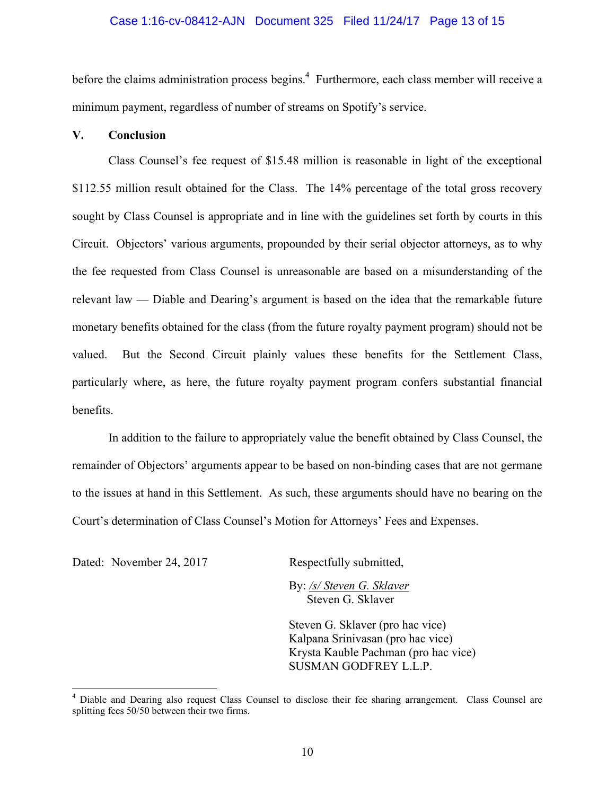#### Case 1:16-cv-08412-AJN Document 325 Filed 11/24/17 Page 13 of 15

before the claims administration process begins.<sup>4</sup> Furthermore, each class member will receive a minimum payment, regardless of number of streams on Spotify's service.

## **V. Conclusion**

Class Counsel's fee request of \$15.48 million is reasonable in light of the exceptional \$112.55 million result obtained for the Class. The 14% percentage of the total gross recovery sought by Class Counsel is appropriate and in line with the guidelines set forth by courts in this Circuit. Objectors' various arguments, propounded by their serial objector attorneys, as to why the fee requested from Class Counsel is unreasonable are based on a misunderstanding of the relevant law — Diable and Dearing's argument is based on the idea that the remarkable future monetary benefits obtained for the class (from the future royalty payment program) should not be valued. But the Second Circuit plainly values these benefits for the Settlement Class, particularly where, as here, the future royalty payment program confers substantial financial benefits.

In addition to the failure to appropriately value the benefit obtained by Class Counsel, the remainder of Objectors' arguments appear to be based on non-binding cases that are not germane to the issues at hand in this Settlement. As such, these arguments should have no bearing on the Court's determination of Class Counsel's Motion for Attorneys' Fees and Expenses.

Dated: November 24, 2017 Respectfully submitted,

 $\overline{a}$ 

By: */s/ Steven G. Sklaver* Steven G. Sklaver

Steven G. Sklaver (pro hac vice) Kalpana Srinivasan (pro hac vice) Krysta Kauble Pachman (pro hac vice) SUSMAN GODFREY L.L.P.

<sup>&</sup>lt;sup>4</sup> Diable and Dearing also request Class Counsel to disclose their fee sharing arrangement. Class Counsel are splitting fees 50/50 between their two firms.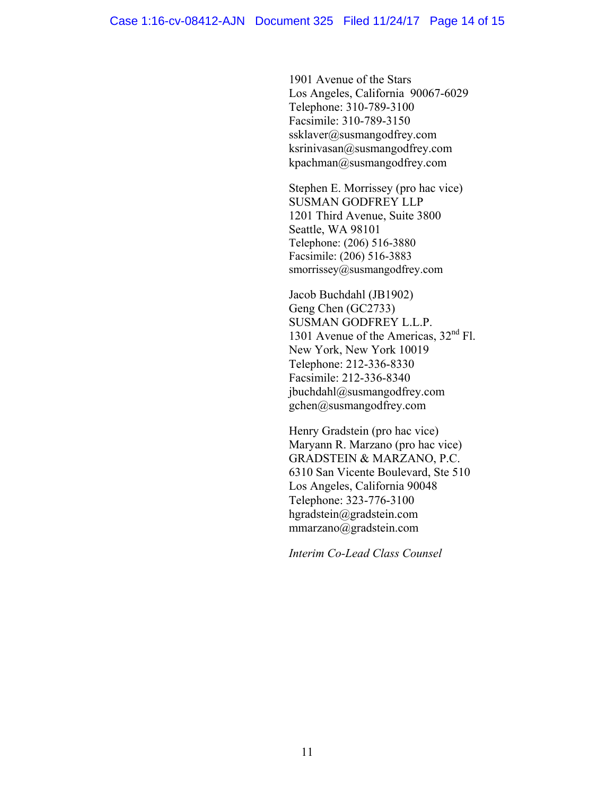1901 Avenue of the Stars Los Angeles, California 90067-6029 Telephone: 310-789-3100 Facsimile: 310-789-3150 ssklaver@susmangodfrey.com ksrinivasan@susmangodfrey.com kpachman@susmangodfrey.com

Stephen E. Morrissey (pro hac vice) SUSMAN GODFREY LLP 1201 Third Avenue, Suite 3800 Seattle, WA 98101 Telephone: (206) 516-3880 Facsimile: (206) 516-3883 smorrissey@susmangodfrey.com

Jacob Buchdahl (JB1902) Geng Chen (GC2733) SUSMAN GODFREY L.L.P. 1301 Avenue of the Americas,  $32<sup>nd</sup>$  Fl. New York, New York 10019 Telephone: 212-336-8330 Facsimile: 212-336-8340 jbuchdahl@susmangodfrey.com gchen@susmangodfrey.com

Henry Gradstein (pro hac vice) Maryann R. Marzano (pro hac vice) GRADSTEIN & MARZANO, P.C. 6310 San Vicente Boulevard, Ste 510 Los Angeles, California 90048 Telephone: 323-776-3100 hgradstein@gradstein.com mmarzano@gradstein.com

*Interim Co-Lead Class Counsel*